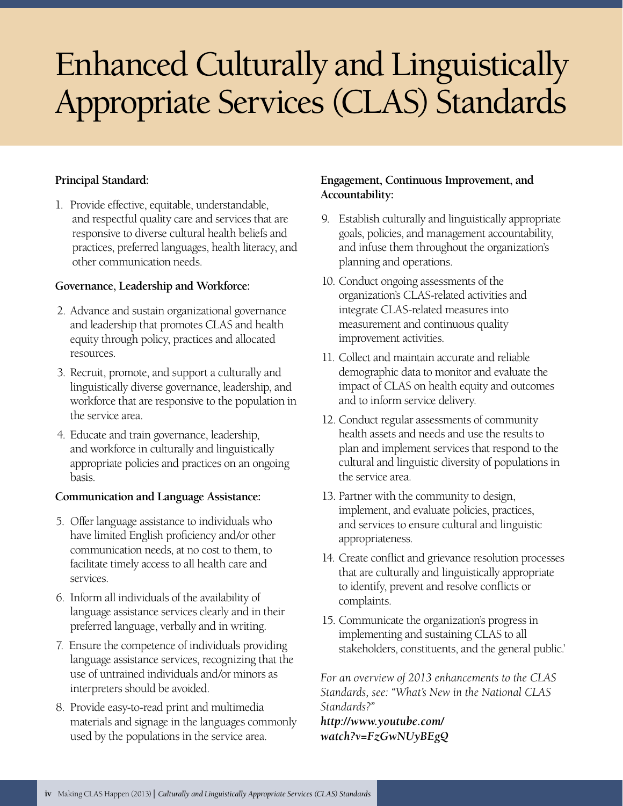# Enhanced Culturally and Linguistically Appropriate Services (CLAS) Standards

## **Principal Standard:**

1. Provide effective, equitable, understandable, and respectful quality care and services that are responsive to diverse cultural health beliefs and practices, preferred languages, health literacy, and other communication needs.

#### **Governance, Leadership and Workforce:**

- 2. Advance and sustain organizational governance and leadership that promotes CLAS and health equity through policy, practices and allocated resources.
- 3. Recruit, promote, and support a culturally and linguistically diverse governance, leadership, and workforce that are responsive to the population in the service area.
- 4. Educate and train governance, leadership, and workforce in culturally and linguistically appropriate policies and practices on an ongoing basis.

#### **Communication and Language Assistance:**

- 5. Offer language assistance to individuals who have limited English proficiency and/or other communication needs, at no cost to them, to facilitate timely access to all health care and services.
- 6. Inform all individuals of the availability of language assistance services clearly and in their preferred language, verbally and in writing.
- 7. Ensure the competence of individuals providing language assistance services, recognizing that the use of untrained individuals and/or minors as interpreters should be avoided.
- 8. Provide easy-to-read print and multimedia materials and signage in the languages commonly used by the populations in the service area.

### **Engagement, Continuous Improvement, and Accountability:**

- 9. Establish culturally and linguistically appropriate goals, policies, and management accountability, and infuse them throughout the organization's planning and operations.
- 10. Conduct ongoing assessments of the organization's CLAS-related activities and integrate CLAS-related measures into measurement and continuous quality improvement activities.
- 11. Collect and maintain accurate and reliable demographic data to monitor and evaluate the impact of CLAS on health equity and outcomes and to inform service delivery.
- 12. Conduct regular assessments of community health assets and needs and use the results to plan and implement services that respond to the cultural and linguistic diversity of populations in the service area.
- 13. Partner with the community to design, implement, and evaluate policies, practices, and services to ensure cultural and linguistic appropriateness.
- 14. Create conflict and grievance resolution processes that are culturally and linguistically appropriate to identify, prevent and resolve conflicts or complaints.
- 15. Communicate the organization's progress in implementing and sustaining CLAS to all stakeholders, constituents, and the general public.'

*For an overview of 2013 enhancements to the CLAS Standards, see: "What's New in the National CLAS Standards?"* 

*http://www.youtube.com/ watch?v=FzGwNUyBEgQ*